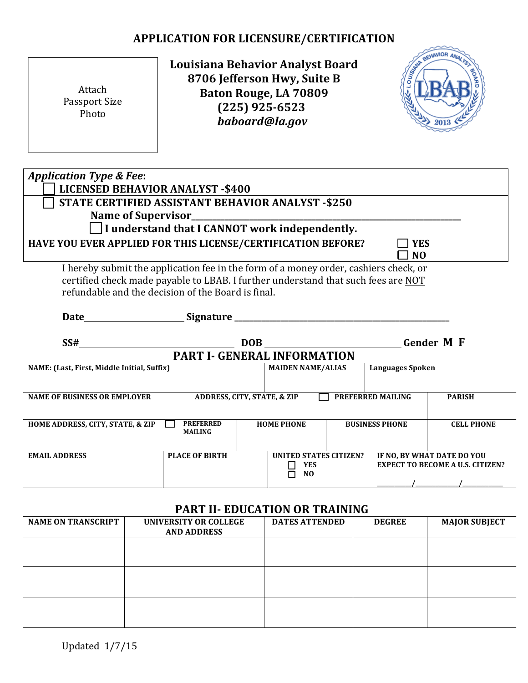# **APPLICATION FOR LICENSURE/CERTIFICATION**

Attach Passport Size Photo

**Louisiana Behavior Analyst Board 8706 Jefferson Hwy, Suite B** Baton Rouge, LA 70809 **(225) 925-6523** *baboard@la.gov*



| <b>Application Type &amp; Fee:</b>                                                                                                                                                                                             |                                                |                                                                                                                                                                                                                                |                              |                                                                       |
|--------------------------------------------------------------------------------------------------------------------------------------------------------------------------------------------------------------------------------|------------------------------------------------|--------------------------------------------------------------------------------------------------------------------------------------------------------------------------------------------------------------------------------|------------------------------|-----------------------------------------------------------------------|
| <b>LICENSED BEHAVIOR ANALYST -\$400</b>                                                                                                                                                                                        |                                                |                                                                                                                                                                                                                                |                              |                                                                       |
| <b>STATE CERTIFIED ASSISTANT BEHAVIOR ANALYST -\$250</b>                                                                                                                                                                       |                                                |                                                                                                                                                                                                                                |                              |                                                                       |
|                                                                                                                                                                                                                                |                                                |                                                                                                                                                                                                                                |                              |                                                                       |
|                                                                                                                                                                                                                                | I understand that I CANNOT work independently. |                                                                                                                                                                                                                                |                              |                                                                       |
| HAVE YOU EVER APPLIED FOR THIS LICENSE/CERTIFICATION BEFORE?                                                                                                                                                                   |                                                |                                                                                                                                                                                                                                | <b>YES</b><br>N <sub>O</sub> |                                                                       |
| I hereby submit the application fee in the form of a money order, cashiers check, or                                                                                                                                           |                                                |                                                                                                                                                                                                                                |                              |                                                                       |
| certified check made payable to LBAB. I further understand that such fees are NOT<br>refundable and the decision of the Board is final.                                                                                        |                                                |                                                                                                                                                                                                                                |                              |                                                                       |
| Date Signature Signature Signature Signature Signature Signature Signature Signature Signature Signature Signature Signature Signature Signature Signature Signature Signature Signature Signature Signature Signature Signatu |                                                |                                                                                                                                                                                                                                |                              |                                                                       |
| SS#                                                                                                                                                                                                                            |                                                | DOB and the second contract of the second second contract of the second second contract of the second second second second second second second second second second second second second second second second second second s |                              | <b>Gender M F</b>                                                     |
|                                                                                                                                                                                                                                | <b>PART I- GENERAL INFORMATION</b>             |                                                                                                                                                                                                                                |                              |                                                                       |
| NAME: (Last, First, Middle Initial, Suffix)                                                                                                                                                                                    |                                                | <b>MAIDEN NAME/ALIAS</b>                                                                                                                                                                                                       | <b>Languages Spoken</b>      |                                                                       |
| <b>NAME OF BUSINESS OR EMPLOYER</b>                                                                                                                                                                                            | ADDRESS, CITY, STATE, & ZIP                    |                                                                                                                                                                                                                                | <b>PREFERRED MAILING</b>     | <b>PARISH</b>                                                         |
| <b>HOME ADDRESS, CITY, STATE, &amp; ZIP</b>                                                                                                                                                                                    | <b>PREFERRED</b><br><b>MAILING</b>             | <b>HOME PHONE</b>                                                                                                                                                                                                              | <b>BUSINESS PHONE</b>        | <b>CELL PHONE</b>                                                     |
| <b>EMAIL ADDRESS</b>                                                                                                                                                                                                           | <b>PLACE OF BIRTH</b>                          | <b>UNITED STATES CITIZEN?</b><br><b>YES</b><br>N <sub>0</sub>                                                                                                                                                                  |                              | IF NO, BY WHAT DATE DO YOU<br><b>EXPECT TO BECOME A U.S. CITIZEN?</b> |
|                                                                                                                                                                                                                                | DADT II. EDIICATION OD TDAINING                |                                                                                                                                                                                                                                |                              |                                                                       |

### **PART II- EDUCATION OR TRAINING**

| <b>NAME ON TRANSCRIPT</b> | UNIVERSITY OR COLLEGE<br><b>AND ADDRESS</b> | <b>DATES ATTENDED</b> | <b>DEGREE</b> | <b>MAJOR SUBJECT</b> |
|---------------------------|---------------------------------------------|-----------------------|---------------|----------------------|
|                           |                                             |                       |               |                      |
|                           |                                             |                       |               |                      |
|                           |                                             |                       |               |                      |
|                           |                                             |                       |               |                      |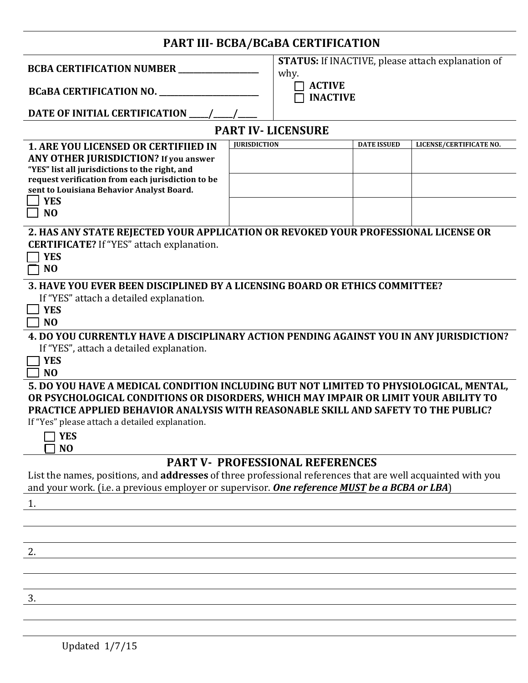# **PART III- BCBA/BCaBA CERTIFICATION**

BCBA CERTIFICATION NUMBER \_\_\_\_\_\_\_\_\_\_\_\_

**STATUS:** If INACTIVE, please attach explanation of why.

**BCaBA CERTIFICATION NO.** 

¨ **ACTIVE** ¨ **INACTIVE**

**DATE OF INITIAL CERTIFICATION \_\_\_\_/\_\_\_/\_** 

#### **PART IV- LICENSURE**

| <b>1. ARE YOU LICENSED OR CERTIFIIED IN</b>                                        | <b>IURISDICTION</b> | <b>DATE ISSUED</b> | LICENSE/CERTIFICATE NO. |
|------------------------------------------------------------------------------------|---------------------|--------------------|-------------------------|
| <b>ANY OTHER JURISDICTION?</b> If you answer                                       |                     |                    |                         |
| "YES" list all jurisdictions to the right, and                                     |                     |                    |                         |
| request verification from each jurisdiction to be                                  |                     |                    |                         |
| sent to Louisiana Behavior Analyst Board.                                          |                     |                    |                         |
| <b>YES</b>                                                                         |                     |                    |                         |
| N <sub>O</sub>                                                                     |                     |                    |                         |
|                                                                                    |                     |                    |                         |
| 2. HAS ANY STATE REJECTED YOUR APPLICATION OR REVOKED YOUR PROFESSIONAL LICENSE OR |                     |                    |                         |
| <b>CERTIFICATE?</b> If "YES" attach explanation.                                   |                     |                    |                         |
|                                                                                    |                     |                    |                         |
|                                                                                    |                     |                    |                         |
| <b>YES</b>                                                                         |                     |                    |                         |
| N <sub>0</sub>                                                                     |                     |                    |                         |
| 3. HAVE YOU EVER BEEN DISCIPLINED BY A LICENSING BOARD OR ETHICS COMMITTEE?        |                     |                    |                         |
| If "YES" attach a detailed explanation.                                            |                     |                    |                         |

**4. DO YOU CURRENTLY HAVE A DISCIPLINARY ACTION PENDING AGAINST YOU IN ANY JURISDICTION?** If "YES", attach a detailed explanation.

¨ **YES**

¨ **NO**

**5. DO YOU HAVE A MEDICAL CONDITION INCLUDING BUT NOT LIMITED TO PHYSIOLOGICAL, MENTAL,** OR PSYCHOLOGICAL CONDITIONS OR DISORDERS, WHICH MAY IMPAIR OR LIMIT YOUR ABILITY TO **PRACTICE APPLIED BEHAVIOR ANALYSIS WITH REASONABLE SKILL AND SAFETY TO THE PUBLIC?** If "Yes" please attach a detailed explanation.

¨ **YES**

¨ **NO**

# **PART V- PROFESSIONAL REFERENCES**

List the names, positions, and **addresses** of three professional references that are well acquainted with you and your work. (i.e. a previous employer or supervisor. One reference **MUST** be a BCBA or LBA)

|  | I |  |
|--|---|--|
|  |   |  |

2.

3.